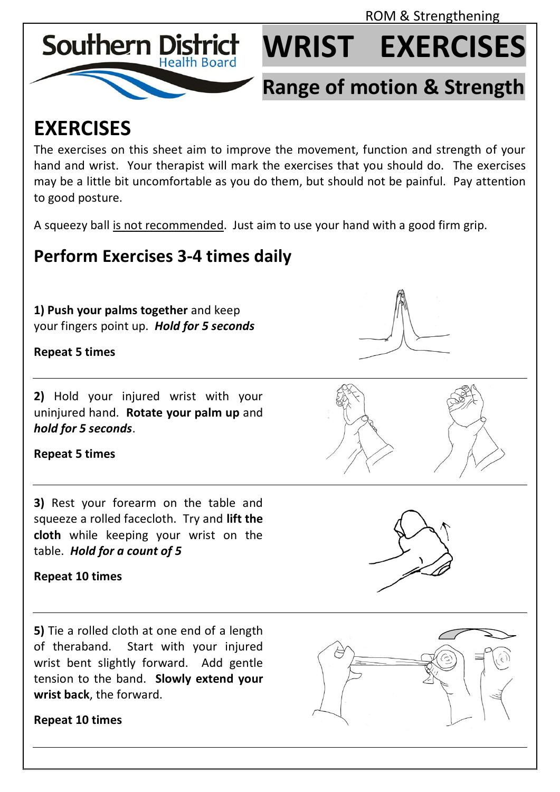ROM & Strengthening



# **WRIST EXERCISES**

## **Range of motion & Strength**

### **EXERCISES**

The exercises on this sheet aim to improve the movement, function and strength of your hand and wrist. Your therapist will mark the exercises that you should do. The exercises may be a little bit uncomfortable as you do them, but should not be painful. Pay attention to good posture.

A squeezy ball is not recommended. Just aim to use your hand with a good firm grip.

### **Perform Exercises 3-4 times daily**

**1) Push your palms together** and keep your fingers point up. *Hold for 5 seconds*

**Repeat 5 times**

**2)** Hold your injured wrist with your uninjured hand. **Rotate your palm up** and *hold for 5 seconds*.

**Repeat 5 times**

**3)** Rest your forearm on the table and squeeze a rolled facecloth. Try and **lift the cloth** while keeping your wrist on the table. *Hold for a count of 5*

**Repeat 10 times**

**5)** Tie a rolled cloth at one end of a length of theraband. Start with your injured wrist bent slightly forward. Add gentle tension to the band. **Slowly extend your wrist back**, the forward.